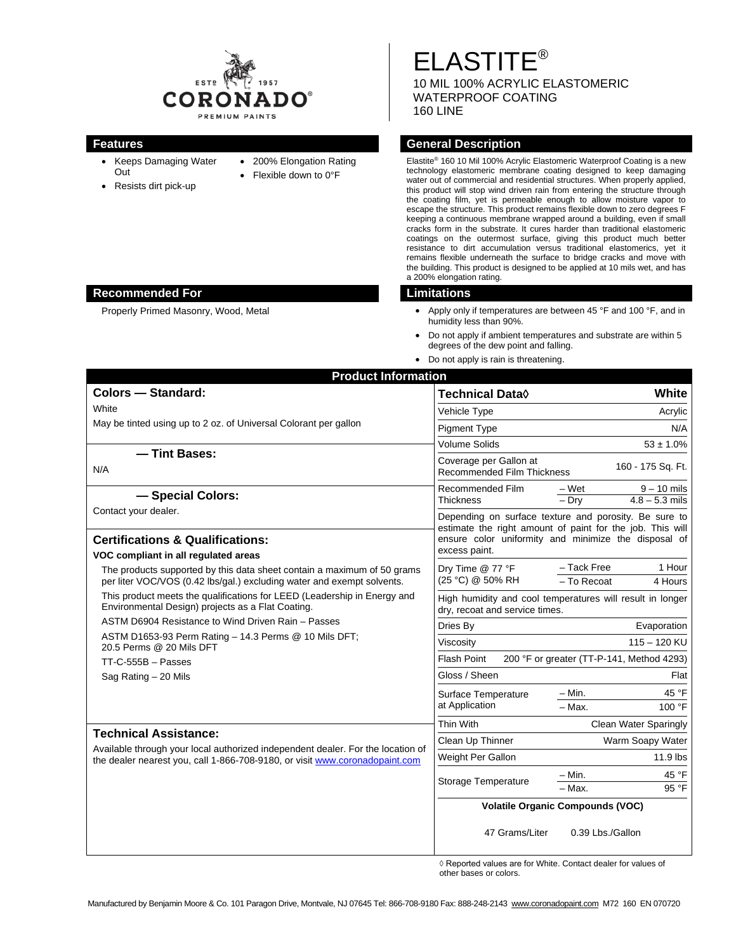

- Keeps Damaging Water Out
- Resists dirt pick-up
- 200% Elongation Rating
- Flexible down to 0°F

ELASTITE® 10 MIL 100% ACRYLIC ELASTOMERIC WATERPROOF COATING 160 LINE

# **Features Features General Description**

Elastite® 160 10 Mil 100% Acrylic Elastomeric Waterproof Coating is a new technology elastomeric membrane coating designed to keep damaging water out of commercial and residential structures. When properly applied, this product will stop wind driven rain from entering the structure through the coating film, yet is permeable enough to allow moisture vapor to escape the structure. This product remains flexible down to zero degrees F keeping a continuous membrane wrapped around a building, even if small cracks form in the substrate. It cures harder than traditional elastomeric coatings on the outermost surface, giving this product much better resistance to dirt accumulation versus traditional elastomerics, yet it remains flexible underneath the surface to bridge cracks and move with the building. This product is designed to be applied at 10 mils wet, and has a 200% elongation rating.

- Properly Primed Masonry, Wood, Metal **•** Apply only if temperatures are between 45 °F and 100 °F, and in humidity less than 90%.
	- Do not apply if ambient temperatures and substrate are within 5 degrees of the dew point and falling.
	- Do not apply is rain is threatening.

| <b>Colors - Standard:</b>                                                                                                                         | <b>Technical Data</b> ♦<br>White                                                                                                   |                |
|---------------------------------------------------------------------------------------------------------------------------------------------------|------------------------------------------------------------------------------------------------------------------------------------|----------------|
| White                                                                                                                                             | Vehicle Type<br>Acrylic                                                                                                            |                |
| May be tinted using up to 2 oz. of Universal Colorant per gallon                                                                                  | Pigment Type                                                                                                                       | N/A            |
|                                                                                                                                                   | <b>Volume Solids</b><br>$53 \pm 1.0\%$                                                                                             |                |
| - Tint Bases:                                                                                                                                     | Coverage per Gallon at                                                                                                             |                |
| N/A                                                                                                                                               | 160 - 175 Sq. Ft.<br>Recommended Film Thickness                                                                                    |                |
| - Special Colors:                                                                                                                                 | Recommended Film<br>$9 - 10$ mils<br>– Wet<br>$4.8 - 5.3$ mils<br><b>Thickness</b><br>$-$ Dry                                      |                |
| Contact your dealer.                                                                                                                              | Depending on surface texture and porosity. Be sure to                                                                              |                |
| <b>Certifications &amp; Qualifications:</b><br>VOC compliant in all regulated areas                                                               | estimate the right amount of paint for the job. This will<br>ensure color uniformity and minimize the disposal of<br>excess paint. |                |
| The products supported by this data sheet contain a maximum of 50 grams<br>per liter VOC/VOS (0.42 lbs/gal.) excluding water and exempt solvents. | - Tack Free<br>1 Hour<br>Dry Time @ 77 °F<br>(25 °C) @ 50% RH<br>- To Recoat<br>4 Hours                                            |                |
| This product meets the qualifications for LEED (Leadership in Energy and<br>Environmental Design) projects as a Flat Coating.                     | High humidity and cool temperatures will result in longer<br>dry, recoat and service times.                                        |                |
| ASTM D6904 Resistance to Wind Driven Rain - Passes                                                                                                | Evaporation<br>Dries By                                                                                                            |                |
| ASTM D1653-93 Perm Rating - 14.3 Perms @ 10 Mils DFT;<br>20.5 Perms @ 20 Mils DFT                                                                 | $115 - 120$ KU<br>Viscosity                                                                                                        |                |
| $TT-C-555B - Passes$                                                                                                                              | <b>Flash Point</b><br>200 °F or greater (TT-P-141, Method 4293)                                                                    |                |
| Sag Rating - 20 Mils                                                                                                                              | Gloss / Sheen                                                                                                                      | Flat           |
|                                                                                                                                                   | $-$ Min.<br>Surface Temperature                                                                                                    | 45 °F          |
|                                                                                                                                                   | at Application<br>$-$ Max.<br>100 °F                                                                                               |                |
| <b>Technical Assistance:</b>                                                                                                                      | Thin With<br><b>Clean Water Sparingly</b>                                                                                          |                |
| Available through your local authorized independent dealer. For the location of                                                                   | Warm Soapy Water<br>Clean Up Thinner                                                                                               |                |
| the dealer nearest you, call 1-866-708-9180, or visit www.coronadopaint.com                                                                       | Weight Per Gallon<br>11.9 lbs                                                                                                      |                |
|                                                                                                                                                   | – Min.<br>Storage Temperature<br>- Max.                                                                                            | 45 °F<br>95 °F |
|                                                                                                                                                   |                                                                                                                                    |                |
|                                                                                                                                                   | <b>Volatile Organic Compounds (VOC)</b>                                                                                            |                |
|                                                                                                                                                   | 47 Grams/Liter<br>0.39 Lbs./Gallon                                                                                                 |                |

 ◊ Reported values are for White. Contact dealer for values of other bases or colors.

# **Recommended For Limitations**